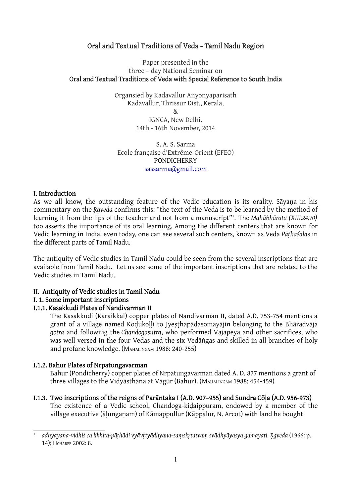# Oral and Textual Traditions of Veda - Tamil Nadu Region

#### Paper presented in the three – day National Seminar on Oral and Textual Traditions of Veda with Special Reference to South India

Organsied by Kadavallur Anyonyaparisath Kadavallur, Thrissur Dist., Kerala, & IGNCA, New Delhi. 14th - 16th November, 2014

S. A. S. Sarma Ecole française d'Extrême-Orient (EFEO) PONDICHERRY sassarma@gmail.com

#### I. Introduction

As we all know, the outstanding feature of the Vedic education is its orality. Sāyaṇa in his commentary on the *Ṛgveda* confirms this: "the text of the Veda is to be learned by the method of learning it from the lips of the teacher and not from a manuscript"1 . The *Mahābhārata (XIII.24.70)* too asserts the importance of its oral learning. Among the different centers that are known for Vedic learning in India, even today, one can see several such centers, known as Veda *Pāṭhaśāla*s in the different parts of Tamil Nadu.

The antiquity of Vedic studies in Tamil Nadu could be seen from the several inscriptions that are available from Tamil Nadu. Let us see some of the important inscriptions that are related to the Vedic studies in Tamil Nadu.

### II. Antiquity of Vedic studies in Tamil Nadu

### I. 1. Some important inscriptions

### I.1.1. Kasakkudi Plates of Nandivarman II

The Kasakkudi (Karaikkal) copper plates of Nandivarman II, dated A.D. 753-754 mentions a grant of a village named Kodukolli to Jyesthapādasomayājin belonging to the Bhāradvāja *gotra* and following the *Chandogasūtra*, who performed Vājāpeya and other sacrifices, who was well versed in the four Vedas and the six Vedāṅgas and skilled in all branches of holy and profane knowledge. (MAHALINGAM 1988: 240-255)

#### I.1.2. Bahur Plates of Nrpatungavarman

Bahur (Pondicherry) copper plates of Nrpatungavarman dated A. D. 877 mentions a grant of three villages to the Vidyāsthāna at Vāgūr (Bahur). (MAHALINGAM 1988: 454-459)

### I.1.3. Two inscriptions of the reigns of Parāntaka I (A.D. 907–955) and Sundra Cōḷa (A.D. 956-973)

The existence of a Vedic school, Chandoga-kiḍaippuram, endowed by a member of the village executive (ālunganam) of Kāmappullur (Kāppalur, N. Arcot) with land he bought

adhyayana-vidhiś ca likhita-pāṭhādi vyāvṛtyādhyana-saṃskṛtatvaṃ svādhyāyasya gamayati. Rgveda (1966: p. 14); HCHARFE 2002: 8.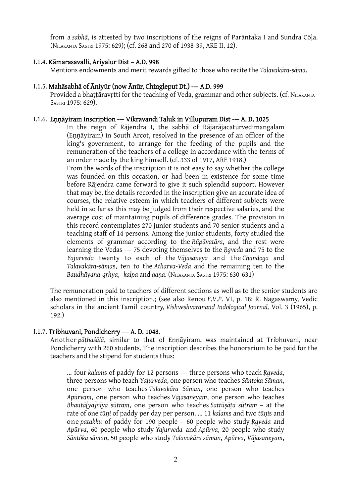from a *sabhā*, is attested by two inscriptions of the reigns of Parāntaka I and Sundra Cōḷa. (NILAKANTA SASTRI 1975: 629); (cf. 268 and 270 of 1938-39, ARE II, 12).

#### I.1.4. Kāmarasavalli, Ariyalur Dist – A.D. 998

Mentions endowments and merit rewards gifted to those who recite the *Talavakāra-sāma*.

#### I.1.5. Mahāsabhā of Āniyūr (now Ānūr, Chingleput Dt.) --- A.D. 999

Provided a bhattāravrtti for the teaching of Veda, grammar and other subjects. (cf. NILAKANTA SASTRI 1975: 629).

#### I.1.6. Eṇṇāyiram Inscription --- Vikravandi Taluk in Villupuram Dist --- A. D. 1025

In the reign of Rājendra I, the sabhā of Rājarājacaturvedimangalam (Eṇṇāyiram) in South Arcot, resolved in the presence of an officer of the king's government, to arrange for the feeding of the pupils and the remuneration of the teachers of a college in accordance with the terms of an order made by the king himself. (cf. 333 of 1917, ARE 1918.)

From the words of the inscription it is not easy to say whether the college was founded on this occasion, or had been in existence for some time before Rājendra came forward to give it such splendid support. However that may be, the details recorded in the inscription give an accurate idea of courses, the relative esteem in which teachers of different subjects were held in so far as this may be judged from their respective salaries, and the average cost of maintaining pupils of difference grades. The provision in this record contemplates 270 junior students and 70 senior students and a teaching staff of 14 persons. Among the junior students, forty studied the elements of grammar according to the *Rūpāvatāra*, and the rest were learning the Vedas --- 75 devoting themselves to the *Ṛgveda* and 75 to the *Yajurveda* twenty to each of the *Vājasaneya* and the *Chandoga* and *Talavakāra*-*sāma*s, ten to the *Atharva-Veda* and the remaining ten to the *Baudhāyana-gṛhya*, -*kalpa* and *gaṇa*. (NILAKANTA SASTRI 1975: 630-631)

The remuneration paid to teachers of different sections as well as to the senior students are also mentioned in this inscription.; (see also Renou *E*.*V*.*P*. VI, p. 18; R. Nagaswamy, Vedic scholars in the ancient Tamil country, *Vishveshvaranand Indological Journal,* Vol. 3 (1965), p. 192.)

#### I.1.7. Tribhuvani, Pondicherry --- A. D. 1048.

Another *pāṭhaśālā*, similar to that of Eṇṇāyiram, was maintained at Tribhuvani, near Pondicherry with 260 students. The inscription describes the honorarium to be paid for the teachers and the stipend for students thus:

... four *kalam*s of paddy for 12 persons --- three persons who teach *Ṛgveda*, three persons who teach *Yajurveda*, one person who teaches *Sāntoka Sāman*, one person who teaches *Talavakāra Sāman*, one person who teaches *Apūrvam*, one person who teaches *Vājasaneyam*, one person who teaches *Bhautā[ya]nīya sūtram*, one person who teaches *Sattūṣāṭa sūtram* – at the rate of one *tūṇi* of paddy per day per person. ... 11 *kalam*s and two *tūṇi*s and one *patakku* of paddy for 190 people – 60 people who study *Ṛgveda* and *Apūrva*, 60 people who study *Yajurveda* and *Apūrva*, 20 people who study *Sāntōka sāman*, 50 people who study *Talavakāra sāman*, *Apūrva*, *Vājasaneyam*,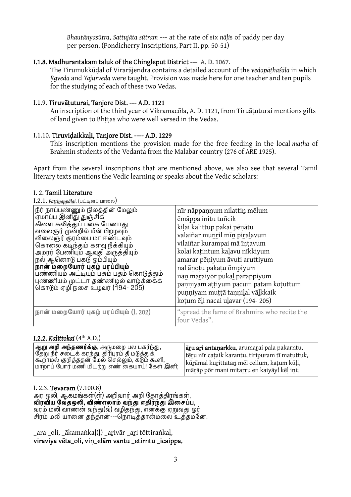*Bhautānyasūtra*, *Sattujāta sūtram* --- at the rate of six *nāḷi*s of paddy per day per person. (Pondicherry Inscriptions, Part II, pp. 50-51)

#### I.1.8. Madhurantakam taluk of the Chingleput District --- A. D. 1067.

The Tirumukkūḍal of Virarājendra contains a detailed account of the *vedapāṭhaśāla* in which *Ṛgveda* and *Yajurveda* were taught. Provision was made here for one teacher and ten pupils for the studying of each of these two Vedas.

## I.1.9. Tiruvāṭuturai, Tanjore Dist. --- A.D. 1121

An inscription of the third year of Vikramacōla, A. D. 1121, from Tiruāṭuturai mentions gifts of land given to Bhttas who were well versed in the Vedas.

#### I.1.10. Tiruviḍaikkaḷi, Tanjore Dist. ---- A.D. 1229

This inscription mentions the provision made for the free feeding in the local *maṭha* of Brahmin students of the Vedanta from the Malabar country (276 of ARE 1925).

Apart from the several inscriptions that are mentioned above, we also see that several Tamil literary texts mentions the Vedic learning or speaks about the Vedic scholars:

#### I. 2. Tamil Literature

#### **I.2.1.** *Pattinappālai* (பட்டினப் பாலை)

| $\ldots$                                                                                                                                                                                                                                                                                                                                                                                                               |                                                                                                                                                                                                                                                                                                                                                                                                       |
|------------------------------------------------------------------------------------------------------------------------------------------------------------------------------------------------------------------------------------------------------------------------------------------------------------------------------------------------------------------------------------------------------------------------|-------------------------------------------------------------------------------------------------------------------------------------------------------------------------------------------------------------------------------------------------------------------------------------------------------------------------------------------------------------------------------------------------------|
| நீர் நாப்பண்ணும் நிலத்தின் மேலும்<br>.<br>ஏமாப்ப இனிது துஞ்சிக்<br>கிளை கலித்துப் பகை பேணாது<br>வலைஞர் முன்றில் மீன் பிறழவும்<br>விலைஞர் குரம்பை மா ஈண்டவும்<br>கொலை கடிந்தும் களவு நீக்கியும்<br>அமரர் பேணியும் ஆவுதி அருத்தியும்<br>நல் ஆனொடு பகடு ஓம்பியும்<br>நான் மறையோர் புகழ் பரப்பியும்<br>பண்ணியம் அட்டியும் பசும் பதம் கொடுத்தும்<br>புண்ணியம் முட்டா தண்ணிழல் வாழ்க்கைக்<br>கொடும் ஏழி நசை உழவர் (194- 205) | nīr nāppaņņum nilattin mēlum<br>ēmāppa initu tuñcik<br>kiļai kalittup pakai pēnātu<br>valaiñar munril mīn piralavum<br>vilaiñar kurampai mā īntavum<br>kolai katintum kalavu nīkkiyum<br>amarar pēņiyum āvuti aruttiyum<br>nal ānotu pakatu ōmpiyum<br>nān maraiyor pukal parappiyum<br>panniyam attiyum pacum patam kotuttum<br>punniyam muttā tannilal vālkkaik<br>kotum ēli nacai ulavar (194-205) |
| நான் மறையோர் புகழ் பரப்பியும் (1. 202)                                                                                                                                                                                                                                                                                                                                                                                 | "spread the fame of Brahmins who recite the<br>four Vedas".                                                                                                                                                                                                                                                                                                                                           |

### I.2.2. *Kalittokai* (4th A.D.)

| <sup> </sup> ஆறு அறி அந்தணர்க்கு, அருமறை பல பகர்ந்து,                                             | aru ari antaņarkku, arumarai pala pakarntu,                           |
|---------------------------------------------------------------------------------------------------|-----------------------------------------------------------------------|
| தேறு நீர் சடைக் கரந்து, திரிபுரம் தீ மடுத்துக்,<br> கூறாமல் குறித்ததன் மேல் செல்லும், கடும் கூளி, | tēru nīr cataik karantu, tiripuram tī matuttuk,                       |
| மாறாப் போர் மணி மிடற்று எண் கையாய்! கேள் இனி;                                                     | kūrāmal kurittatan mēl cellum, katum kūli,                            |
|                                                                                                   | mā <u>r</u> āp pōr maņi miṭa <u>r</u> ru eņ kaiyāy! kēļ i <u>n</u> i; |

#### I. 2.3. Tevaram (7.100.8)

அர ஒலி, ஆகமங்கள்(ள்) அறிவார் அறி தோக்கிரங்கள், **விரவிய வேதஒலி, விண்எலாம் வந்து எதிர்ந்து இசைப்ப,** வரம் மலி வாணன் வந்து(வ்) வழிதந்து, எனக்கு ஏறுவது ஓர் சிரம் மலி யானை தந்தான்---நொடித்தான்மலை உத்தம்னே.

\_ara \_oli, \_ākamaṅkaḷ(ḷ) \_aṟivār \_aṟi tōttiraṅkaḷ, viraviya vēta\_oli, viṇ\_elām vantu \_etirntu \_icaippa,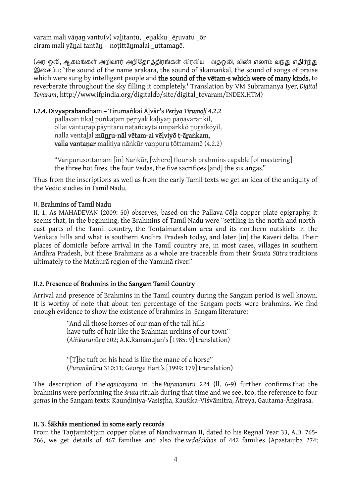varam mali vānan vantu(v) valitantu, enakku ēruvatu ōr ciram mali yānai tantān---notittānmalai uttamanē.

(அர ஒலி, ஆகமங்கள் அறிவார் அறிகோக்கிரங்கள் விரவிய வகஒலி, விண் எலாம் வந்து எகிர்ந்து இசைப்ப: `the sound of the name arakara, the sound of ākamaṅkal, the sound of songs of praise which were sung by intelligent people and the sound of the vētam-s which were of many kinds, to reverberate throughout the sky filling it completely.' Translation by VM Subramanya Iyer, *Digital Tevaram*, http://www.ifpindia.org/digitaldb/site/digital\_tevaram/INDEX.HTM)

# I.2.4. Divyaprabandham – Tirumaṅkai Āḻvār's *Periya Tirumoḻi* 4.2.2

pallavan tikaḻ pūṅkaṭam pēṟiyak kāḷiyaṉ paṇavaraṅkil, ollai vantuṟap pāyntaru naṭañceyta umparkkō ṉuṟaikōyil, nalla ventaḻal mūṉṟu-nāl vētam-ai vēḷviyō ṭ-āṟaṅkam, valla vantanar malkiya nāṅkūr vanpuru tōttamamē (4.2.2)

"Vanpurusottamam [in] Naṅkūr, [where] flourish brahmins capable [of mastering] the three hot fires, the four Vedas, the five sacrifices [and] the six aṅgas."

Thus from the inscriptions as well as from the early Tamil texts we get an idea of the antiquity of the Vedic studies in Tamil Nadu.

### II. Brahmins of Tamil Nadu

II. 1. As MAHADEVAN (2009: 50) observes, based on the Pallava-Cōḷa copper plate epigraphy, it seems that, in the beginning, the Brahmins of Tamil Nadu were "settling in the north and northeast parts of the Tamil country, the Tontaimantalam area and its northern outskirts in the Vēnkata hills and what is southern Andhra Pradesh today, and later [in] the Kaveri delta. Their places of domicile before arrival in the Tamil country are, in most cases, villages in southern Andhra Pradesh, but these Brahmans as a whole are traceable from their Ś*rauta S*ū*tra* traditions ultimately to the Mathurā region of the Yamunā river."

### II.2. Presence of Brahmins in the Sangam Tamil Country

Arrival and presence of Brahmins in the Tamil country during the Sangam period is well known. It is worthy of note that about ten percentage of the Sangam poets were brahmins. We find enough evidence to show the existence of brahmins in Sangam literature:

> "And all those horses of our man of the tall hills have tufts of hair like the Brahman urchins of our town" (*Ai*ṅ*kurun*ūṛ*u* 202; A.K.Ramanujan's [1985: 9] translation)

"[T]he tuft on his head is like the mane of a horse" (*Pu*ṛ*an*ā*n*ūṛ*u* 310:11; George Hart's [1999: 179] translation)

The description of the *agnicayana* in the *Puṛanānūṛu* 224 (ll. 6-9) further confirms that the brahmins were performing the *śruta* rituals during that time and we see, too, the reference to four *gotra*s in the Sangam texts: Kaunḍiniya-Vasiṣṭha, Kauśika-Viśvāmitra, Ātreya, Gautama-Āṅgirasa.

### II. 3. Śākhās mentioned in some early records

From the Tantamtōttam copper plates of Nandivarman II, dated to his Regnal Year 33, A.D. 765-766, we get details of 467 families and also the *vedaśākhā*s of 442 families (Āpastaṃba 274;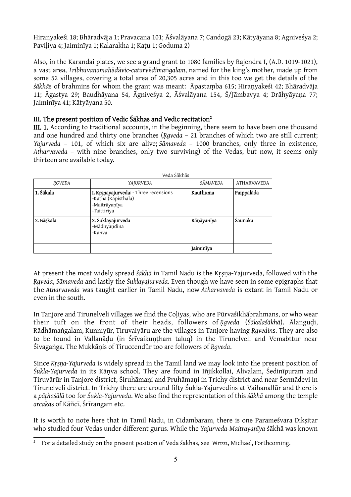Hiraṇyakeśi 18; Bhāradvāja 1; Pravacana 101; Āśvalāyana 7; Candogā 23; Kātyāyana 8; Agniveśya 2; Paviḷiya 4; Jaiminīya 1; Kalarakha 1; Kaṭu 1; Goduma 2)

Also, in the Karandai plates, we see a grand grant to 1080 families by Rajendra I, (A.D. 1019-1021), a vast area, *Tribhuvanamah*ā*d*ā*vic-caturv*ē*dima*ṅ*galam*, named for the king's mother, made up from some 52 villages, covering a total area of 20,305 acres and in this too we get the details of the *śākhā*s of brahmins for whom the grant was meant: Āpastaṃba 615; Hiraṇyakeśi 42; Bhāradvāja 11; Āgastya 29; Baudhāyana 54, Āgniveśya 2, Āśvalāyana 154, Ś/Jāmbavya 4; Drāhyāyaṇa 77; Jaiminīya 41; Kātyāyana 50.

## III. The present position of Vedic Śākhas and Vedic recitation2

III. 1. According to traditional accounts, in the beginning, there seem to have been one thousand and one hundred and thirty one branches (*Rqveda* – 21 branches of which two are still current; *Yajurveda* – 101, of which six are alive; *Sāmaveda* – 1000 branches, only three in existence, *Atharvaveda* – with nine branches, only two surviving) of the Vedas, but now, it seems only thirteen are available today.

| Veda Śākhās |                                                                                              |            |                    |  |
|-------------|----------------------------------------------------------------------------------------------|------------|--------------------|--|
| RGVEDA      | YAJURVEDA                                                                                    | SĀMAVEDA   | <b>ATHARVAVEDA</b> |  |
| 1. Śākala   | I. Krsnayajurveda: - Three recensions<br>-Katha (Kapisthala)<br>-Maitrāyanīya<br>-Taittirīya | Kauthuma   | Paippalāda         |  |
| 2. Bāskala  | 2. Śuklayajurveda<br>-Mādhyaṇdina<br>-Kanva                                                  | Rāņāyanīya | Saunaka            |  |
|             |                                                                                              | Jaiminīya  |                    |  |

At present the most widely spread *śākhā* in Tamil Nadu is the Kṛṣṇa-Yajurveda, followed with the *Ṛgveda*, *Sāmaveda* and lastly the *Śuklayajurveda*. Even though we have seen in some epigraphs that the *Atharvaveda* was taught earlier in Tamil Nadu, now *Atharvaveda* is extant in Tamil Nadu or even in the south.

In Tanjore and Tirunelveli villages we find the Coḷiyas, who are Pūrvaśikhābrahmans, or who wear their tuft on the front of their heads, followers of *Ṛgveda* (*Śākalaśākhā*). Ālaṅguḍi, Rādhāmaṅgalam, Kunniyūr, Tiruvaiyāru are the villages in Tanjore having *Ṛgvedin*s. They are also to be found in Vallanādu (in Śrīvaikuntham taluq) in the Tirunelveli and Vemabttur near Śivagaṅga. The Mukkāṇis of Tiruccendūr too are followers of *Ṛgveda*.

Since *Kṛṣṇa-Yajurveda* is widely spread in the Tamil land we may look into the present position of *Śukla-Yajurveda* in its Kāṇva school. They are found in Iñjikkollai, Alivalam, Śedinīpuram and Tiruvārūr in Tanjore district, Śiruhāmaṇi and Pruhāmaṇi in Trichy district and near Śermādevi in Tirunelveli district. In Trichy there are around fifty Śukla-Yajurvedins at Vaihanallūr and there is a *pāṭhaśālā* too for *Śukla-Yajurveda*. We also find the representation of this *śākhā* among the temple *arcaka*s of Kāñcī, Śrīrangam etc.

It is worth to note here that in Tamil Nadu, in Cidambaram, there is one Parameśvara Diksitar who studied four Vedas under different gurus. While the *Yajurveda-Maitrayaṇīya* śākhā was known

For a detailed study on the present position of Veda śākhās, see WITZEL, Michael, Forthcoming.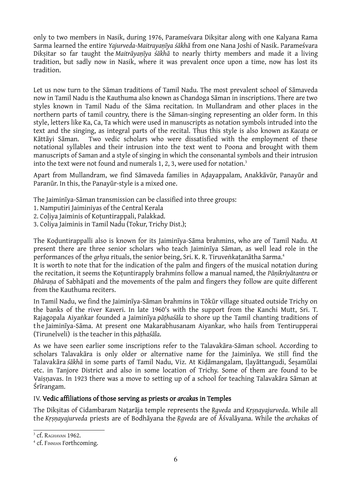only to two members in Nasik, during 1976, Parameśvara Dikṣitar along with one Kalyana Rama Sarma learned the entire *Yajurveda-Maitrayaṇīya śākhā* from one Nana Joshi of Nasik. Parameśvara Dikṣitar so far taught the *Maitrāyaṇīya śākhā* to nearly thirty members and made it a living tradition, but sadly now in Nasik, where it was prevalent once upon a time, now has lost its tradition.

Let us now turn to the Sāman traditions of Tamil Nadu. The most prevalent school of Sāmaveda now in Tamil Nadu is the Kauthuma also known as Chandoga Sāman in inscriptions. There are two styles known in Tamil Nadu of the Sāma recitation. In Mullandram and other places in the northern parts of tamil country, there is the Sāman-singing representing an older form. In this style, letters like Ka, Ca, Ta which were used in manuscripts as notation symbols intruded into the text and the singing, as integral parts of the recital. Thus this style is also known as *Kacaṭa* or Kāttāyi Sāman. Two vedic scholars who were dissatisfied with the employment of these notational syllables and their intrusion into the text went to Poona and brought with them manuscripts of Saman and a style of singing in which the consonantal symbols and their intrusion into the text were not found and numerals 1, 2, 3, were used for notation.<sup>3</sup>

Apart from Mullandram, we find Sāmaveda families in Aḍayappalam, Anakkāvūr, Panayūr and Paranūr. In this, the Panayūr-style is a mixed one.

The Jaiminīya-Sāman transmission can be classified into three groups:

- 1. Namputiri Jaiminiyas of the Central Kerala
- 2. Coḷiya Jaiminis of Koṭuntirappali, Palakkad.
- 3. Coliya Jaiminis in Tamil Nadu (Tokur, Trichy Dist.);

The Koḍuntirappalli also is known for its Jaiminīya-Sāma brahmins, who are of Tamil Nadu. At present there are three senior scholars who teach Jaiminīya Sāman, as well lead role in the performances of the *gṛhya* rituals, the senior being, Sri. K. R. Tiruveṅkaṭanātha Sarma.4

It is worth to note that for the indication of the palm and fingers of the musical notation during the recitation, it seems the Koṭuntirapply brahmins follow a manual named, the *Pāṇikriyātantra* or *Dhāraṇa* of Sabhāpati and the movements of the palm and fingers they follow are quite different from the Kauthuma reciters.

In Tamil Nadu, we find the Jaiminīya-Sāman brahmins in Tōkūr village situated outside Trichy on the banks of the river Kaveri. In late 1960's with the support from the Kanchi Mutt, Sri. T. Rajagopala Aiyaṅkar founded a Jaiminīya *pāṭhaśāla* to shore up the Tamil chanting traditions of the Jaiminīya-Sāma. At present one Makarabhusanam Aiyankar, who hails from Tentirupperai (Tirunelveli) is the teacher in this *pāṭhaśāla*.

As we have seen earlier some inscriptions refer to the Talavakāra-Sāman school. According to scholars Talavakāra is only older or alternative name for the Jaiminīya. We still find the Talavakāra *śākhā* in some parts of Tamil Nadu, Viz. At Kiḍāmangalam, Iḷayāttangudi, Śeṣamūlai etc. in Tanjore District and also in some location of Trichy. Some of them are found to be Vaisnavas. In 1923 there was a move to setting up of a school for teaching Talavakāra Sāman at Śrīrangam.

### IV. Vedic affiliations of those serving as priests or *arcaka*s in Temples

The Dikṣitas of Cidambaram Naṭarāja temple represents the *Ṛgveda* and *Kṛṣṇayajurveda*. While all the *Kṛṣṇayajurveda* priests are of Bodhāyana the *Ṛgveda* are of Āśvalāyana. While the *archaka*s of

<sup>&</sup>lt;sup>3</sup> cf. RAGHAVAN 1962.

<sup>&</sup>lt;sup>4</sup> cf. FINNIAN Forthcoming.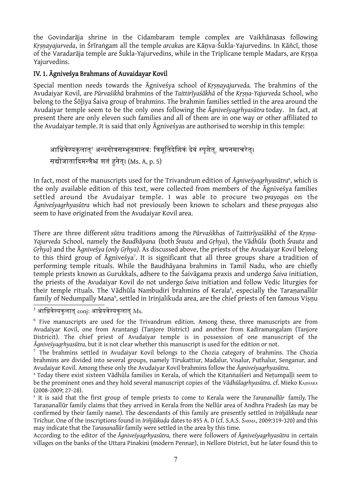the Govindarāja shrine in the Cidambaram temple complex are Vaikhānasas following *Kṛṣṇayajurveda*, in Śrīraṅgam all the temple *arcaka*s are Kāṇva-Śukla-Yajurvedins. In Kāñcī, those of the Varadarāja temple are Śukla-Yajurvedins, while in the Triplicane temple Madars, are Kṛṣṇa Yajurvedins.

# IV. 1. Āgniveśya Brahmans of Auvaidayar Kovil

Special mention needs towards the Āgniveśya school of *Kṛṣṇayajurveda.* The brahmins of the Avudaiyar Kovil, are *Pūrvaśikhā* brahmins of the *Taittirīyaśākhā* of the *Kṛṣṇa-Yajurveda* School, who belong to the Śōḻiya Śaiva group of brahmins. The brahmin families settled in the area around the Avudaiyar temple seem to be the only ones following the *Āgniveśyagṛhyasūtra* today. In fact, at present there are only eleven such families and all of them are in one way or other affiliated to the Avudaiyar temple. It is said that only Āgniveśyas are authorised to worship in this temple:

```
आग्निवेश्यकुलात्<sup>s</sup> अन्यगोत्रसम्भूतमानवः त्रिमूर्तिदेशिकं देवं स्पृशेत्, स्नपनमाचरेत्।
सद्योजातादिमन्त्रैश्च शतं हनेत्। (Ms. A, p. 5)
```
In fact, most of the manuscripts used for the Trivandrum edition of *Āgniveśyagṛhyasūtra*<sup>6</sup> , which is the only available edition of this text, were collected from members of the Āgniveśya families settled around the Avudaiyar temple. I was able to procure two *prayoga*s on the *Āgniveśyagṛhyasūtra* which had not previously been known to scholars and these *prayoga*s also seem to have originated from the Avudaiyar Kovil area.

There are three different *sūtra* traditions among the *Pūrvaśikha*s of *Taittirīyaśākhā* of the *Kṛṣṇa-Yajurveda* School, namely the *Baudh*ā*yana* (both *Śrauta* and *G*ṛ*hya*), the *V*ā*dh*ū*la* (both *Śrauta* and *Gṛhya*) and the Ā*gnive*ś*ya (only Gṛhya)*. As discussed above, the priests of the Avudaiyar Kovil belong to this third group of Āgniveśya<sup>7</sup>. It is significant that all three groups share a·tradition of performing temple rituals. While the Baudhāyana brahmins in Tamil Nadu, who are chiefly temple priests known as Gurukkals, adhere to the Śaivāgama praxis and undergo *Śaiva* initiation, the priests of the Avudaiyar Kovil do not undergo *Śaiva* initiation and follow Vedic liturgies for their temple rituals. The Vādhūla Nambudiri brahmins of Kerala<sup>s</sup>, especially the Taraṇanallūr family of Nedumpally Mana°, settled in Irinjalikuda area, are the chief priests of ten famous Viṣṇu

 $^{\mathrm{5}}$  आग्निवेश्यकुलात्  $_{\mathrm{conj}}$ : आग्नेयवेश्यकुलात्  $_{\mathrm{Ms}}$ .

 $6$  Five manuscripts are used for the Trivandrum edition. Among these, three manuscripts are from Avudaiyar Kovil, one from Arantangi (Tanjore District) and another from Kadiramangalam (Tanjore Districit). The chief priest of Avudaiyar temple is in possession of one manuscript of the *Āgniveśyagṛhyasūtra*, but it is not clear whether this manuscript is used for the edition or not.

 $<sup>7</sup>$  The brahmins settled in Avudaiyar Kovil belongs to the Chozia category of brahmins. The Chozia</sup> brahmins are divided into several groups, namely Tirukattiur, Madalur, Visalur, Puthalur, Senganur, and Avudaiyar Kovil. Among these only the Avudaiyar Kovil brahmins follow the *Āgniveśyagṛhyasūtra*.

<sup>8</sup> Today there exist sixteen Vādhūla families in Kerala, of which the Kiṭaṅṅaśśeri and Neṭumpaḷḷi seem to be the prominent ones and they hold several manuscript copies of the *Vādhūlagṛhyasūtra*. cf. Mieko KAJIHARA (2008-2009; 27-28).

<sup>9</sup> It is said that the first group of temple priests to come to Kerala were the *Taraṇanallūr* family. The Taraṇanallūr family claims that they arrived in Kerala from the Nellūr area of Andhra Pradesh (as may be confirmed by their family name). The descendants of this family are presently settled in *Iriñjālikuḍa* near Trichur. One of the inscriptions found in *Iriñjāikuḍa* dates to 855 A. D (cf. S.A.S. SARMA, 2009:319-320) and this may indicate that the *Taraṇanallūr* family were settled in the area by this time*.*

According to the editor of the *Āgniveśyagṛhyasūtra*, there were followers of *Āgniveśyagṛhyasūtra* in certain villages on the banks of the Uttara Pinakini (modern Pennar), in Nellore District, but he later found this to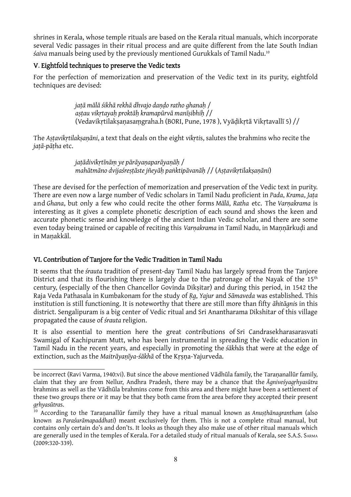shrines in Kerala, whose temple rituals are based on the Kerala ritual manuals, which incorporate several Vedic passages in their ritual process and are quite different from the late South Indian *śaiva* manuals being used by the previously mentioned Gurukkals of Tamil Nadu.10

# V. Eightfold techniques to preserve the Vedic texts

For the perfection of memorization and preservation of the Vedic text in its purity, eightfold techniques are devised:

> *jaṭā mālā śikhā rekhā dhvajo daṇḍo ratho ghanaḥ* / *aṣṭau vikṛtayaḥ proktāḥ kramapūrvā manīṣibhiḥ* // (Vedavikṛtilakṣaṇasaṃgraha.h (BORI, Pune, 1978 ), Vyāḍikṛtā Vikṛtavallī 5) //

The *Aṣṭavikṛtilakṣaṇāni*, a text that deals on the eight *vikṛti*s, salutes the brahmins who recite the *jaṭā-pāṭha* etc.

> *jaṭādivikṛtīnāṃ ye pārāyaṇaparāyaṇāḥ* / mahātmāno dvijaśrestāste jñeyāh panktipāvanāh // (Astavikrtilaksanāni)

These are devised for the perfection of memorization and preservation of the Vedic text in purity. There are even now a large number of Vedic scholars in Tamil Nadu proficient in *Pada*, *Krama*, *Jaṭa* and *Ghana*, but only a few who could recite the other forms *Mālā*, *Ratha* etc. The *Varṇakrama* is interesting as it gives a complete phonetic description of each sound and shows the keen and accurate phonetic sense and knowledge of the ancient Indian Vedic scholar, and there are some even today being trained or capable of reciting this *Varṇakrama* in Tamil Nadu, in Maṇṇārkuḍi and in Maṇakkāl.

# VI. Contribution of Tanjore for the Vedic Tradition in Tamil Nadu

It seems that the *śrauta* tradition of present-day Tamil Nadu has largely spread from the Tanjore District and that its flourishing there is largely due to the patronage of the Nayak of the  $15<sup>th</sup>$ century, (especially of the then Chancellor Govinda Dikṣitar) and during this period, in 1542 the Raja Veda Pathasala in Kumbakonam for the study of *Ṛg*, *Yajur* and *Sāmaveda* was established. This institution is still functioning. It is noteworthy that there are still more than fifty *āhitāgni*s in this district. Sengalipuram is a big center of Vedic ritual and Sri Anantharama Dikshitar of this village propagated the cause of *śrauta* religion.

It is also essential to mention here the great contributions of Sri Candrasekharasarasvati Swamigal of Kachipuram Mutt, who has been instrumental in spreading the Vedic education in Tamil Nadu in the recent years, and especially in promoting the *śākhā*s that were at the edge of extinction, such as the *Maitrāyaṇīya-śākhā* of the Kṛṣṇa-Yajurveda.

be incorrect (Ravi Varma, 1940:vi). But since the above mentioned Vādhūla family, the Tarananallūr family, claim that they are from Nellur, Andhra Pradesh, there may be a chance that the *Āgniveśyagṛhyasūtra* brahmins as well as the Vādhūla brahmins come from this area and there might have been a settlement of these two groups there or it may be that they both came from the area before they accepted their present *gṛhyasūtra*s.

<sup>10</sup> According to the Taraṇanallūr family they have a ritual manual known as *Anuṣṭhānagrantham* (also known as *Paraśurāmapaddhati*) meant exclusively for them. This is not a complete ritual manual, but contains only certain do's and don'ts. It looks as though they also make use of other ritual manuals which are generally used in the temples of Kerala. For a detailed study of ritual manuals of Kerala, see S.A.S. SARMA (2009:320-339).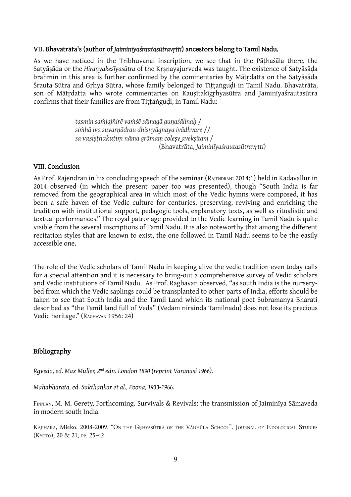#### VII. Bhavatrāta's (author of *Jaiminīyaśrautasūtravṛtti*) ancestors belong to Tamil Nadu.

As we have noticed in the Tribhuvanai inscription, we see that in the Pāṭhaśāla there, the Satyāṣāḍa or the *Hiraṇyakeśīyasūtra* of the Kṛṣṇayajurveda was taught. The existence of Satyāṣāḍa brahmin in this area is further confirmed by the commentaries by Mātṛdatta on the Satyāṣāda Śrauta Sūtra and Gṛhya Sūtra, whose family belonged to Tiṭṭaṅguḍi in Tamil Nadu. Bhavatrāta, son of Mātrdatta who wrote commentaries on Kausītakīgrhyasūtra and Jaminīyaśrautasūtra confirms that their families are from Tittaṅgudi, in Tamil Nadu:

> *tasmin saṁjajñirē vaṁśē sāmagā guṇaśālinaḥ* / *siṁhā iva suvarṇādrau dhiṣṇyāgnaya ivādhvare* // *sa vasiṣṭhakuṭiṃ nāma grāmaṃ coleṣv avekṣitam* / (Bhavatrāta, *Jaiminīyaśrautasūtravṛtti*)

#### VIII. Conclusion

As Prof. Rajendran in his concluding speech of the seminar (RAJENDRAN: 2014:1) held in Kadavallur in 2014 observed (in which the present paper too was presented), though "South India is far removed from the geographical area in which most of the Vedic hymns were composed, it has been a safe haven of the Vedic culture for centuries, preserving, reviving and enriching the tradition with institutional support, pedagogic tools, explanatory texts, as well as ritualistic and textual performances." The royal patronage provided to the Vedic learning in Tamil Nadu is quite visible from the several inscriptions of Tamil Nadu. It is also noteworthy that among the different recitation styles that are known to exist, the one followed in Tamil Nadu seems to be the easily accessible one.

The role of the Vedic scholars of Tamil Nadu in keeping alive the vedic tradition even today calls for a special attention and it is necessary to bring-out a comprehensive survey of Vedic scholars and Vedic institutions of Tamil Nadu. As Prof. Raghavan observed, "as south India is the nurserybed from which the Vedic saplings could be transplanted to other parts of India, efforts should be taken to see that South India and the Tamil Land which its national poet Subramanya Bharati described as "the Tamil land full of Veda" (Vedam nirainda Tamilnadu) does not lose its precious Vedic heritage." (RAGHAVAN 1956: 24)

### Bibliography

*Ṛgveda, ed. Max Muller, 2nd edn. London 1890 (reprint Varanasi 1966).*

*Mahābhārata, ed. Sukthankar et al., Poona, 1933-1966.*

FINNIAN, M. M. Gerety, Forthcoming. Survivals & Revivals: the transmission of Jaiminīya Sāmaveda in modern south India.

KAJIHARA, Mieko. 2008-2009. "ON THE GRHYASŪTRA OF THE VĀDHŪLA SCHOOL". JOURNAL OF INDOLOGICAL STUDIES (KYOTO), 20 & 21, PP. 25-4⒉